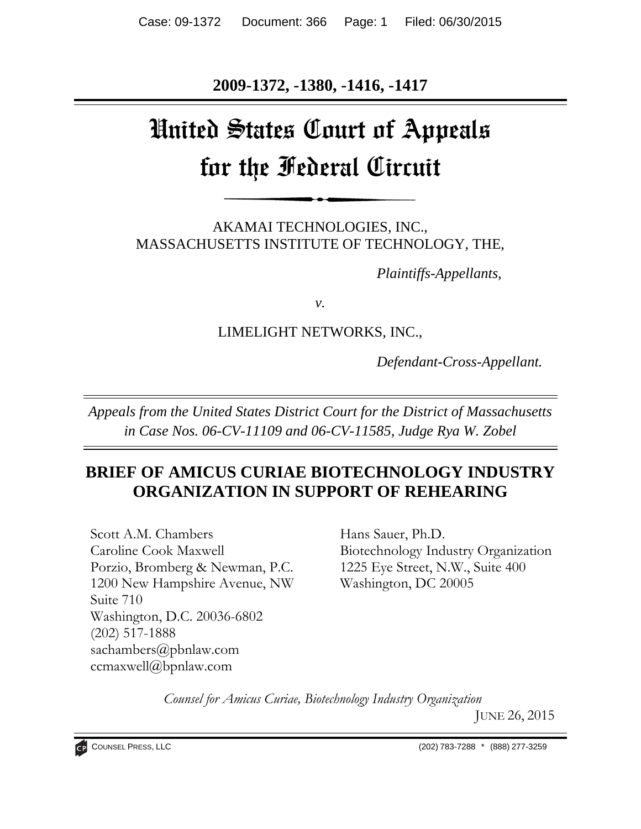**2009-1372, -1380, -1416, -1417** 

# United States Court of Appeals for the Federal Circuit

AKAMAI TECHNOLOGIES, INC., MASSACHUSETTS INSTITUTE OF TECHNOLOGY, THE,

*Plaintiffs-Appellants,*

*v.*

# LIMELIGHT NETWORKS, INC.,

*Defendant-Cross-Appellant.*

*Appeals from the United States District Court for the District of Massachusetts in Case Nos. 06-CV-11109 and 06-CV-11585, Judge Rya W. Zobel*

# **BRIEF OF AMICUS CURIAE BIOTECHNOLOGY INDUSTRY ORGANIZATION IN SUPPORT OF REHEARING**

Scott A.M. Chambers Caroline Cook Maxwell Porzio, Bromberg & Newman, P.C. 1200 New Hampshire Avenue, NW Suite 710 Washington, D.C. 20036-6802 (202) 517-1888 sachambers@pbnlaw.com ccmaxwell@bpnlaw.com

Hans Sauer, Ph.D. Biotechnology Industry Organization 1225 Eye Street, N.W., Suite 400 Washington, DC 20005

*Counsel for Amicus Curiae, Biotechnology Industry Organization*

JUNE 26, 2015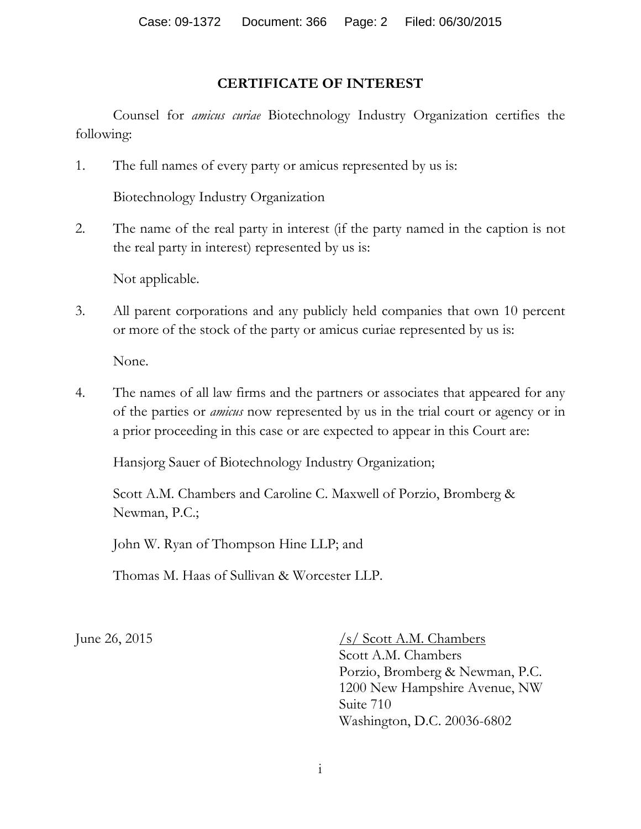## **CERTIFICATE OF INTEREST**

Counsel for *amicus curiae* Biotechnology Industry Organization certifies the following:

1. The full names of every party or amicus represented by us is:

Biotechnology Industry Organization

2. The name of the real party in interest (if the party named in the caption is not the real party in interest) represented by us is:

Not applicable.

3. All parent corporations and any publicly held companies that own 10 percent or more of the stock of the party or amicus curiae represented by us is:

None.

4. The names of all law firms and the partners or associates that appeared for any of the parties or *amicus* now represented by us in the trial court or agency or in a prior proceeding in this case or are expected to appear in this Court are:

Hansjorg Sauer of Biotechnology Industry Organization;

Scott A.M. Chambers and Caroline C. Maxwell of Porzio, Bromberg & Newman, P.C.;

John W. Ryan of Thompson Hine LLP; and

Thomas M. Haas of Sullivan & Worcester LLP.

June 26, 2015  $\frac{\sqrt{s}}{\sqrt{8\cot A.M.}}$  Chambers Scott A.M. Chambers Porzio, Bromberg & Newman, P.C. 1200 New Hampshire Avenue, NW Suite 710 Washington, D.C. 20036-6802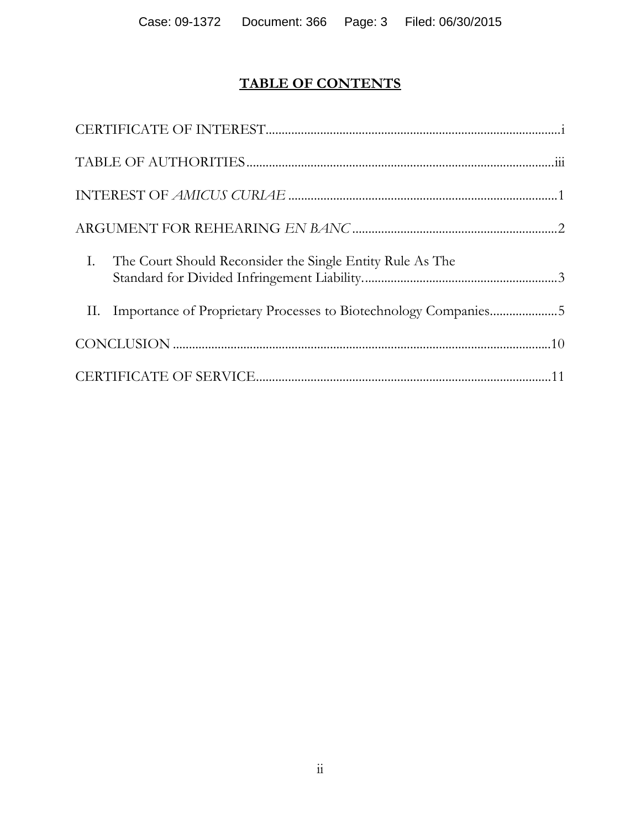# **TABLE OF CONTENTS**

| I. The Court Should Reconsider the Single Entity Rule As The        |  |
|---------------------------------------------------------------------|--|
| II. Importance of Proprietary Processes to Biotechnology Companies5 |  |
|                                                                     |  |
|                                                                     |  |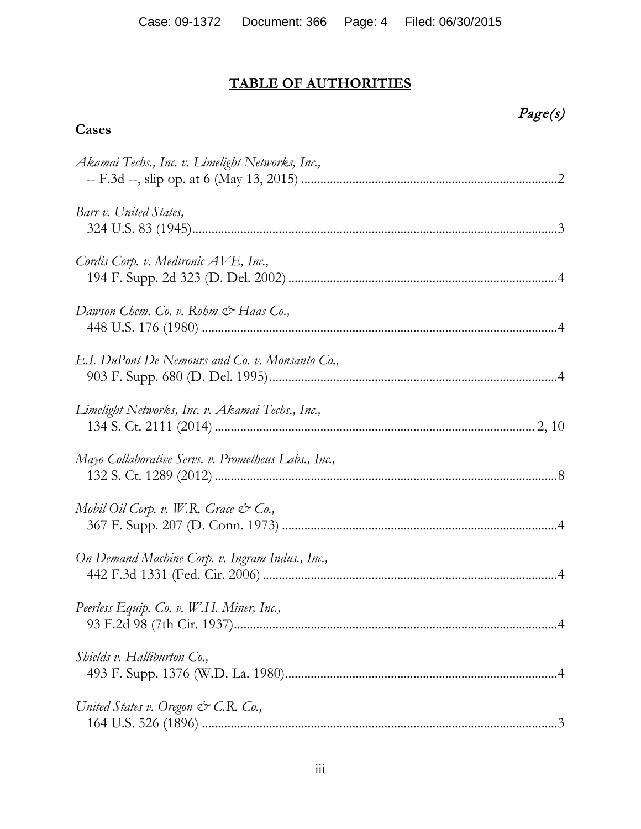### **TABLE OF AUTHORITIES**

**Cases**

### Page(s)

# *Akamai Techs., Inc. v. Limelight Networks, Inc.,*  -- F.3d --, slip op. at 6 (May 13, 2015) ................................................................................2 *Barr v. United States,*  324 U.S. 83 (1945)..................................................................................................................3 *Cordis Corp. v. Medtronic AVE, Inc.,*  194 F. Supp. 2d 323 (D. Del. 2002)....................................................................................4 *Dawson Chem. Co. v. Rohm & Haas Co.,*  448 U.S. 176 (1980) ...............................................................................................................4 *E.I. DuPont De Nemours and Co. v. Monsanto Co.,*  903 F. Supp. 680 (D. Del. 1995)..........................................................................................4 *Limelight Networks, Inc. v. Akamai Techs., Inc.,*  134 S. Ct. 2111 (2014).................................................................................................... 2, 10 *Mayo Collaborative Servs. v. Prometheus Labs., Inc.,*  132 S. Ct. 1289 (2012)...........................................................................................................8 *Mobil Oil Corp. v. W.R. Grace & Co.,*  367 F. Supp. 207 (D. Conn. 1973) ......................................................................................4 *On Demand Machine Corp. v. Ingram Indus., Inc.,*  442 F.3d 1331 (Fed. Cir. 2006) ............................................................................................4 *Peerless Equip. Co. v. W.H. Miner, Inc.,*  93 F.2d 98 (7th Cir. 1937).....................................................................................................4 *Shields v. Halliburton Co.,*  493 F. Supp. 1376 (W.D. La. 1980).....................................................................................4 *United States v. Oregon & C.R. Co.,*  164 U.S. 526 (1896) ...............................................................................................................3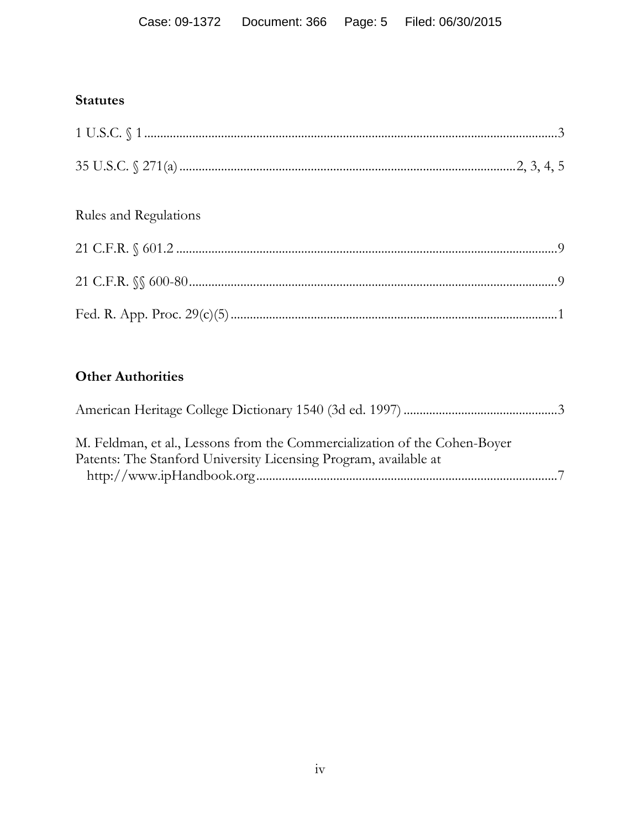# **Statutes**

| Rules and Regulations |  |
|-----------------------|--|
|                       |  |
|                       |  |
|                       |  |

# **Other Authorities**

| M. Feldman, et al., Lessons from the Commercialization of the Cohen-Boyer |  |
|---------------------------------------------------------------------------|--|
| Patents: The Stanford University Licensing Program, available at          |  |
|                                                                           |  |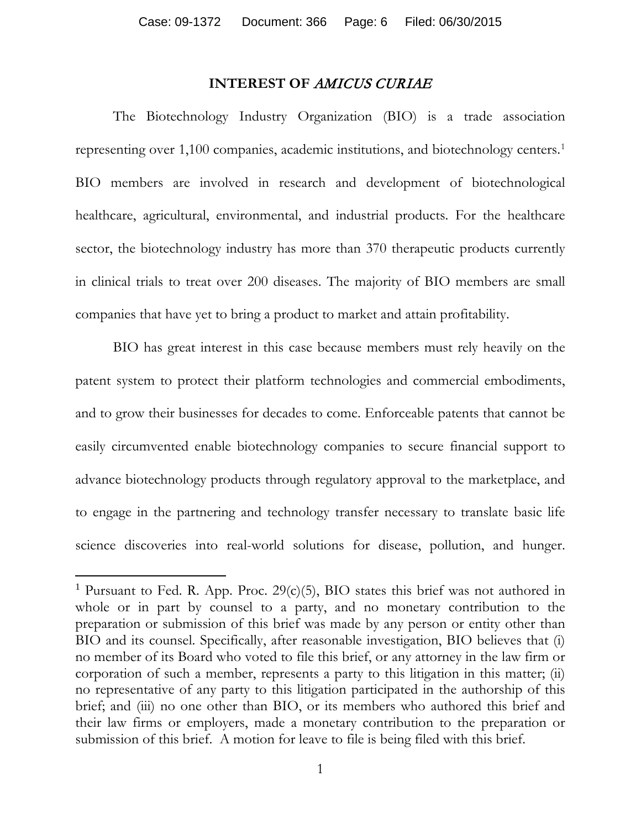#### **INTEREST OF** AMICUS CURIAE

The Biotechnology Industry Organization (BIO) is a trade association representing over 1,100 companies, academic institutions, and biotechnology centers.[1](#page-5-0) BIO members are involved in research and development of biotechnological healthcare, agricultural, environmental, and industrial products. For the healthcare sector, the biotechnology industry has more than 370 therapeutic products currently in clinical trials to treat over 200 diseases. The majority of BIO members are small companies that have yet to bring a product to market and attain profitability.

BIO has great interest in this case because members must rely heavily on the patent system to protect their platform technologies and commercial embodiments, and to grow their businesses for decades to come. Enforceable patents that cannot be easily circumvented enable biotechnology companies to secure financial support to advance biotechnology products through regulatory approval to the marketplace, and to engage in the partnering and technology transfer necessary to translate basic life science discoveries into real-world solutions for disease, pollution, and hunger.

 $\overline{\phantom{a}}$ 

<span id="page-5-0"></span><sup>&</sup>lt;sup>1</sup> Pursuant to Fed. R. App. Proc.  $29(c)(5)$ , BIO states this brief was not authored in whole or in part by counsel to a party, and no monetary contribution to the preparation or submission of this brief was made by any person or entity other than BIO and its counsel. Specifically, after reasonable investigation, BIO believes that (i) no member of its Board who voted to file this brief, or any attorney in the law firm or corporation of such a member, represents a party to this litigation in this matter; (ii) no representative of any party to this litigation participated in the authorship of this brief; and (iii) no one other than BIO, or its members who authored this brief and their law firms or employers, made a monetary contribution to the preparation or submission of this brief. A motion for leave to file is being filed with this brief.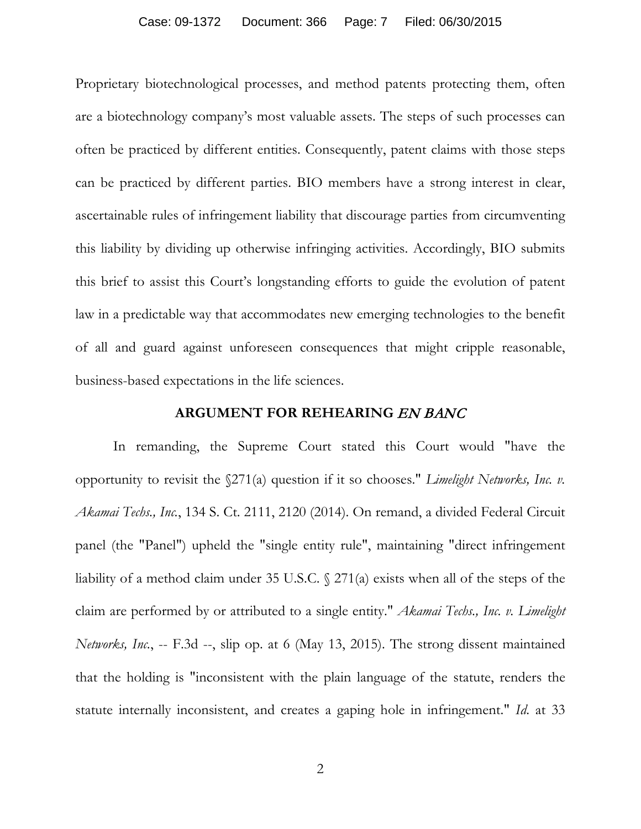#### Case: 09-1372 Document: 366 Page: 7 Filed: 06/30/2015

Proprietary biotechnological processes, and method patents protecting them, often are a biotechnology company's most valuable assets. The steps of such processes can often be practiced by different entities. Consequently, patent claims with those steps can be practiced by different parties. BIO members have a strong interest in clear, ascertainable rules of infringement liability that discourage parties from circumventing this liability by dividing up otherwise infringing activities. Accordingly, BIO submits this brief to assist this Court's longstanding efforts to guide the evolution of patent law in a predictable way that accommodates new emerging technologies to the benefit of all and guard against unforeseen consequences that might cripple reasonable, business-based expectations in the life sciences.

#### **ARGUMENT FOR REHEARING** EN BANC

In remanding, the Supreme Court stated this Court would "have the opportunity to revisit the §271(a) question if it so chooses." *Limelight Networks, Inc. v. Akamai Techs., Inc.*, 134 S. Ct. 2111, 2120 (2014). On remand, a divided Federal Circuit panel (the "Panel") upheld the "single entity rule", maintaining "direct infringement liability of a method claim under 35 U.S.C. § 271(a) exists when all of the steps of the claim are performed by or attributed to a single entity." *Akamai Techs., Inc. v. Limelight Networks, Inc.*, -- F.3d --, slip op. at 6 (May 13, 2015). The strong dissent maintained that the holding is "inconsistent with the plain language of the statute, renders the statute internally inconsistent, and creates a gaping hole in infringement." *Id*. at 33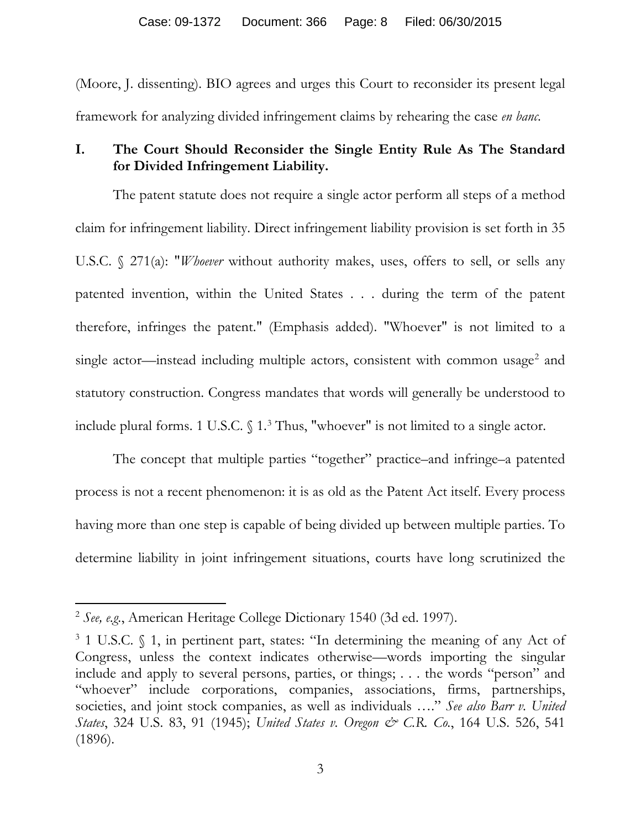(Moore, J. dissenting). BIO agrees and urges this Court to reconsider its present legal framework for analyzing divided infringement claims by rehearing the case *en banc*.

### **I. The Court Should Reconsider the Single Entity Rule As The Standard for Divided Infringement Liability.**

The patent statute does not require a single actor perform all steps of a method claim for infringement liability. Direct infringement liability provision is set forth in 35 U.S.C. § 271(a): "*Whoever* without authority makes, uses, offers to sell, or sells any patented invention, within the United States . . . during the term of the patent therefore, infringes the patent." (Emphasis added). "Whoever" is not limited to a single actor—instead including multiple actors, consistent with common usage<sup>[2](#page-7-0)</sup> and statutory construction. Congress mandates that words will generally be understood to include plural forms. 1 U.S.C. § 1. [3](#page-7-1) Thus, "whoever" is not limited to a single actor.

The concept that multiple parties "together" practice–and infringe–a patented process is not a recent phenomenon: it is as old as the Patent Act itself. Every process having more than one step is capable of being divided up between multiple parties. To determine liability in joint infringement situations, courts have long scrutinized the

<span id="page-7-0"></span><sup>2</sup> *See, e.g.*, American Heritage College Dictionary 1540 (3d ed. 1997).

<span id="page-7-1"></span><sup>3</sup> 1 U.S.C. § 1, in pertinent part, states: "In determining the meaning of any Act of Congress, unless the context indicates otherwise—words importing the singular include and apply to several persons, parties, or things; . . . the words "person" and "whoever" include corporations, companies, associations, firms, partnerships, societies, and joint stock companies, as well as individuals …." *See also Barr v. United States*, 324 U.S. 83, 91 (1945); *United States v. Oregon & C.R. Co.*, 164 U.S. 526, 541 (1896).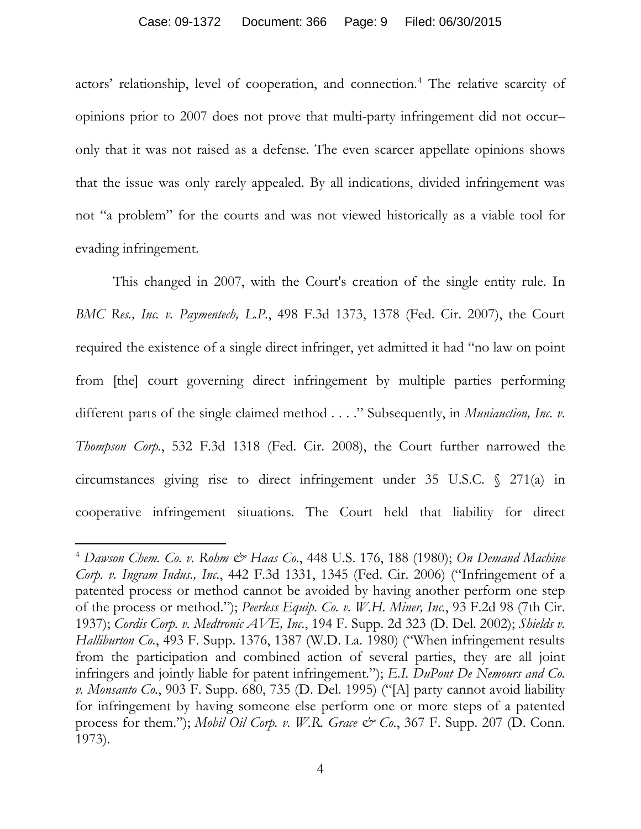#### Case: 09-1372 Document: 366 Page: 9 Filed: 06/30/2015

actors' relationship, level of cooperation, and connection.[4](#page-8-0) The relative scarcity of opinions prior to 2007 does not prove that multi-party infringement did not occur– only that it was not raised as a defense. The even scarcer appellate opinions shows that the issue was only rarely appealed. By all indications, divided infringement was not "a problem" for the courts and was not viewed historically as a viable tool for evading infringement.

This changed in 2007, with the Court's creation of the single entity rule. In *BMC Res., Inc. v. Paymentech, L.P.*, 498 F.3d 1373, 1378 (Fed. Cir. 2007), the Court required the existence of a single direct infringer, yet admitted it had "no law on point from [the] court governing direct infringement by multiple parties performing different parts of the single claimed method . . . ." Subsequently, in *Muniauction, Inc. v. Thompson Corp.*, 532 F.3d 1318 (Fed. Cir. 2008), the Court further narrowed the circumstances giving rise to direct infringement under 35 U.S.C. § 271(a) in cooperative infringement situations. The Court held that liability for direct

<span id="page-8-0"></span><sup>4</sup> *Dawson Chem. Co. v. Rohm & Haas Co.*, 448 U.S. 176, 188 (1980); *On Demand Machine Corp. v. Ingram Indus., Inc.*, 442 F.3d 1331, 1345 (Fed. Cir. 2006) ("Infringement of a patented process or method cannot be avoided by having another perform one step of the process or method."); *Peerless Equip. Co. v. W.H. Miner, Inc.*, 93 F.2d 98 (7th Cir. 1937); *Cordis Corp. v. Medtronic AVE, Inc.*, 194 F. Supp. 2d 323 (D. Del. 2002); *Shields v. Halliburton Co.*, 493 F. Supp. 1376, 1387 (W.D. La. 1980) ("When infringement results from the participation and combined action of several parties, they are all joint infringers and jointly liable for patent infringement."); *E.I. DuPont De Nemours and Co. v. Monsanto Co.*, 903 F. Supp. 680, 735 (D. Del. 1995) ("[A] party cannot avoid liability for infringement by having someone else perform one or more steps of a patented process for them."); *Mobil Oil Corp. v. W.R. Grace & Co.*, 367 F. Supp. 207 (D. Conn. 1973).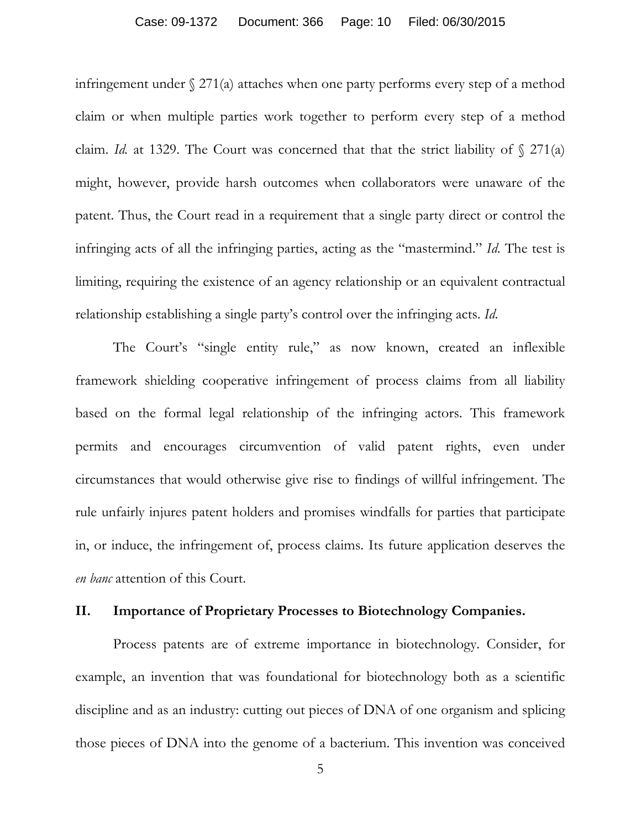#### Case: 09-1372 Document: 366 Page: 10 Filed: 06/30/2015

infringement under § 271(a) attaches when one party performs every step of a method claim or when multiple parties work together to perform every step of a method claim. *Id.* at 1329. The Court was concerned that that the strict liability of  $\sqrt{271(a)}$ might, however, provide harsh outcomes when collaborators were unaware of the patent. Thus, the Court read in a requirement that a single party direct or control the infringing acts of all the infringing parties, acting as the "mastermind." *Id*. The test is limiting, requiring the existence of an agency relationship or an equivalent contractual relationship establishing a single party's control over the infringing acts. *Id*.

The Court's "single entity rule," as now known, created an inflexible framework shielding cooperative infringement of process claims from all liability based on the formal legal relationship of the infringing actors. This framework permits and encourages circumvention of valid patent rights, even under circumstances that would otherwise give rise to findings of willful infringement. The rule unfairly injures patent holders and promises windfalls for parties that participate in, or induce, the infringement of, process claims. Its future application deserves the *en banc* attention of this Court.

#### **II. Importance of Proprietary Processes to Biotechnology Companies.**

Process patents are of extreme importance in biotechnology. Consider, for example, an invention that was foundational for biotechnology both as a scientific discipline and as an industry: cutting out pieces of DNA of one organism and splicing those pieces of DNA into the genome of a bacterium. This invention was conceived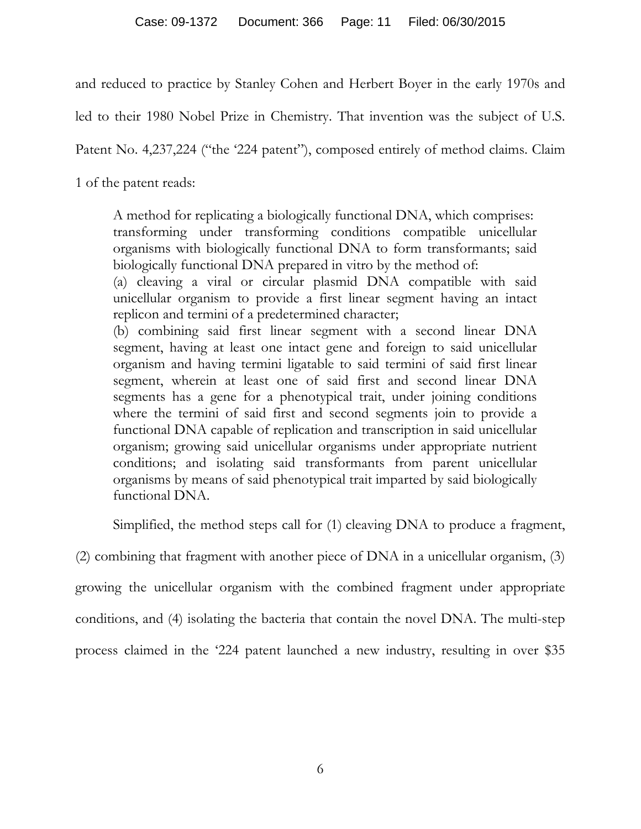and reduced to practice by Stanley Cohen and Herbert Boyer in the early 1970s and

led to their 1980 Nobel Prize in Chemistry. That invention was the subject of U.S.

Patent No. 4,237,224 ("the '224 patent"), composed entirely of method claims. Claim

1 of the patent reads:

A method for replicating a biologically functional DNA, which comprises: transforming under transforming conditions compatible unicellular organisms with biologically functional DNA to form transformants; said biologically functional DNA prepared in vitro by the method of:

(a) cleaving a viral or circular plasmid DNA compatible with said unicellular organism to provide a first linear segment having an intact replicon and termini of a predetermined character;

(b) combining said first linear segment with a second linear DNA segment, having at least one intact gene and foreign to said unicellular organism and having termini ligatable to said termini of said first linear segment, wherein at least one of said first and second linear DNA segments has a gene for a phenotypical trait, under joining conditions where the termini of said first and second segments join to provide a functional DNA capable of replication and transcription in said unicellular organism; growing said unicellular organisms under appropriate nutrient conditions; and isolating said transformants from parent unicellular organisms by means of said phenotypical trait imparted by said biologically functional DNA.

Simplified, the method steps call for (1) cleaving DNA to produce a fragment,

(2) combining that fragment with another piece of DNA in a unicellular organism, (3)

growing the unicellular organism with the combined fragment under appropriate

conditions, and (4) isolating the bacteria that contain the novel DNA. The multi-step

process claimed in the '224 patent launched a new industry, resulting in over \$35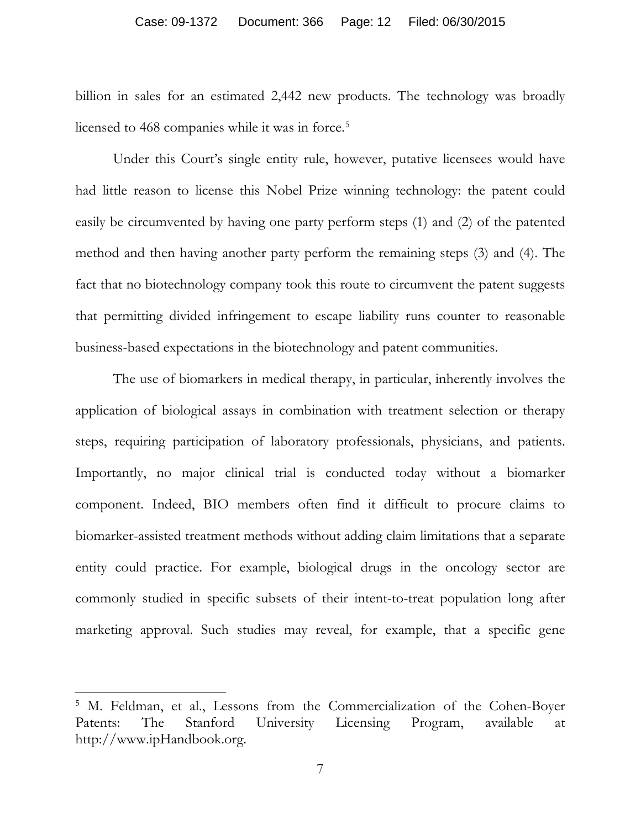#### Case: 09-1372 Document: 366 Page: 12 Filed: 06/30/2015

billion in sales for an estimated 2,442 new products. The technology was broadly licensed to 468 companies while it was in force.<sup>[5](#page-11-0)</sup>

Under this Court's single entity rule, however, putative licensees would have had little reason to license this Nobel Prize winning technology: the patent could easily be circumvented by having one party perform steps (1) and (2) of the patented method and then having another party perform the remaining steps (3) and (4). The fact that no biotechnology company took this route to circumvent the patent suggests that permitting divided infringement to escape liability runs counter to reasonable business-based expectations in the biotechnology and patent communities.

The use of biomarkers in medical therapy, in particular, inherently involves the application of biological assays in combination with treatment selection or therapy steps, requiring participation of laboratory professionals, physicians, and patients. Importantly, no major clinical trial is conducted today without a biomarker component. Indeed, BIO members often find it difficult to procure claims to biomarker-assisted treatment methods without adding claim limitations that a separate entity could practice. For example, biological drugs in the oncology sector are commonly studied in specific subsets of their intent-to-treat population long after marketing approval. Such studies may reveal, for example, that a specific gene

<span id="page-11-0"></span><sup>&</sup>lt;sup>5</sup> M. Feldman, et al., Lessons from the Commercialization of the Cohen-Boyer Patents: The Stanford University Licensing Program, available at http://www.ipHandbook.org.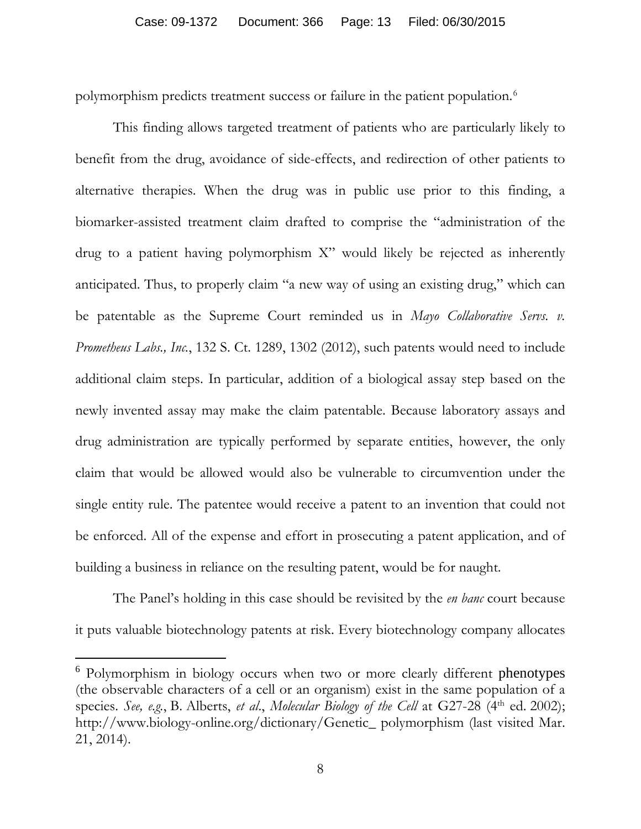polymorphism predicts treatment success or failure in the patient population.[6](#page-12-0)

This finding allows targeted treatment of patients who are particularly likely to benefit from the drug, avoidance of side-effects, and redirection of other patients to alternative therapies. When the drug was in public use prior to this finding, a biomarker-assisted treatment claim drafted to comprise the "administration of the drug to a patient having polymorphism X" would likely be rejected as inherently anticipated. Thus, to properly claim "a new way of using an existing drug," which can be patentable as the Supreme Court reminded us in *Mayo Collaborative Servs. v. Prometheus Labs., Inc.*, 132 S. Ct. 1289, 1302 (2012), such patents would need to include additional claim steps. In particular, addition of a biological assay step based on the newly invented assay may make the claim patentable. Because laboratory assays and drug administration are typically performed by separate entities, however, the only claim that would be allowed would also be vulnerable to circumvention under the single entity rule. The patentee would receive a patent to an invention that could not be enforced. All of the expense and effort in prosecuting a patent application, and of building a business in reliance on the resulting patent, would be for naught.

The Panel's holding in this case should be revisited by the *en banc* court because it puts valuable biotechnology patents at risk. Every biotechnology company allocates

 $\overline{\phantom{a}}$ 

<span id="page-12-0"></span><sup>6</sup> Polymorphism in biology occurs when two or more clearly different [phenotypes](http://en.wikipedia.org/wiki/Phenotypes) (the observable characters of a cell or an organism) exist in the same population of a species. See, e.g., B. Alberts, et al., Molecular Biology of the Cell at G27-28 (4<sup>th</sup> ed. 2002); http://www.biology-online.org/dictionary/Genetic\_ polymorphism (last visited Mar. 21, 2014).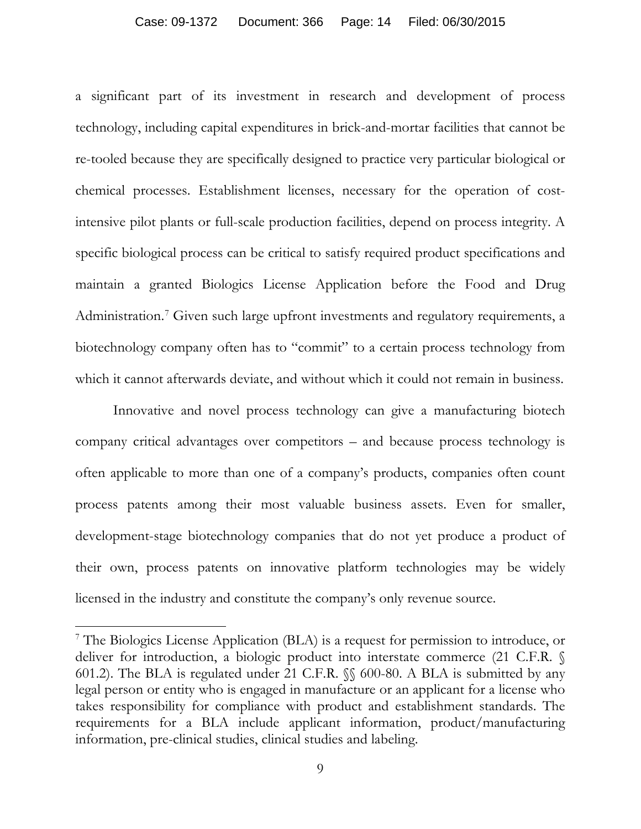#### Case: 09-1372 Document: 366 Page: 14 Filed: 06/30/2015

a significant part of its investment in research and development of process technology, including capital expenditures in brick-and-mortar facilities that cannot be re-tooled because they are specifically designed to practice very particular biological or chemical processes. Establishment licenses, necessary for the operation of costintensive pilot plants or full-scale production facilities, depend on process integrity. A specific biological process can be critical to satisfy required product specifications and maintain a granted Biologics License Application before the Food and Drug Administration.<sup>[7](#page-13-0)</sup> Given such large upfront investments and regulatory requirements, a biotechnology company often has to "commit" to a certain process technology from which it cannot afterwards deviate, and without which it could not remain in business.

Innovative and novel process technology can give a manufacturing biotech company critical advantages over competitors – and because process technology is often applicable to more than one of a company's products, companies often count process patents among their most valuable business assets. Even for smaller, development-stage biotechnology companies that do not yet produce a product of their own, process patents on innovative platform technologies may be widely licensed in the industry and constitute the company's only revenue source.

<span id="page-13-0"></span><sup>7</sup> The Biologics License Application (BLA) is a request for permission to introduce, or deliver for introduction, a biologic product into interstate commerce (21 C.F.R. § 601.2). The BLA is regulated under 21 C.F.R. §§ 600-80. A BLA is submitted by any legal person or entity who is engaged in manufacture or an applicant for a license who takes responsibility for compliance with product and establishment standards. The requirements for a BLA include applicant information, product/manufacturing information, pre-clinical studies, clinical studies and labeling.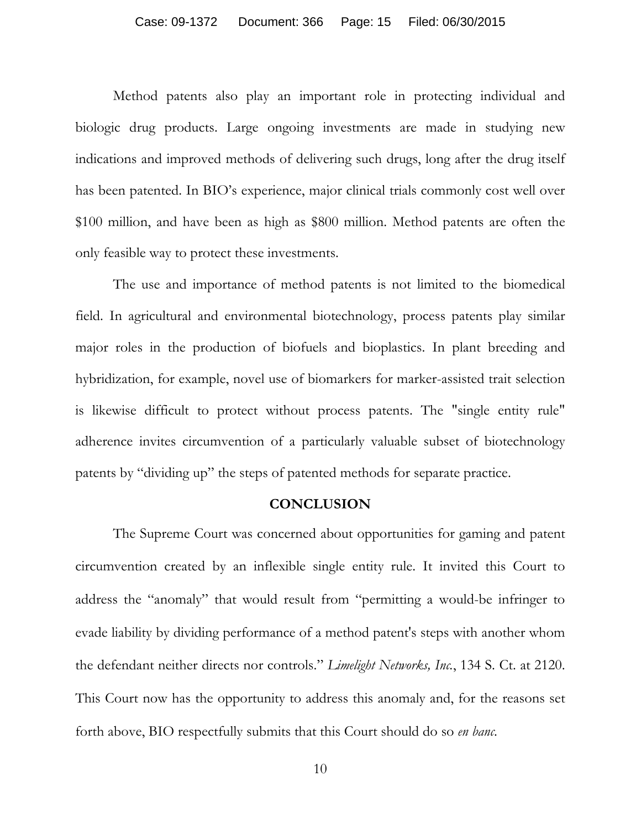#### Case: 09-1372 Document: 366 Page: 15 Filed: 06/30/2015

Method patents also play an important role in protecting individual and biologic drug products. Large ongoing investments are made in studying new indications and improved methods of delivering such drugs, long after the drug itself has been patented. In BIO's experience, major clinical trials commonly cost well over \$100 million, and have been as high as \$800 million. Method patents are often the only feasible way to protect these investments.

The use and importance of method patents is not limited to the biomedical field. In agricultural and environmental biotechnology, process patents play similar major roles in the production of biofuels and bioplastics. In plant breeding and hybridization, for example, novel use of biomarkers for marker-assisted trait selection is likewise difficult to protect without process patents. The "single entity rule" adherence invites circumvention of a particularly valuable subset of biotechnology patents by "dividing up" the steps of patented methods for separate practice.

#### **CONCLUSION**

The Supreme Court was concerned about opportunities for gaming and patent circumvention created by an inflexible single entity rule. It invited this Court to address the "anomaly" that would result from "permitting a would-be infringer to evade liability by dividing performance of a method patent's steps with another whom the defendant neither directs nor controls." *Limelight Networks, Inc.*, 134 S. Ct. at 2120. This Court now has the opportunity to address this anomaly and, for the reasons set forth above, BIO respectfully submits that this Court should do so *en banc*.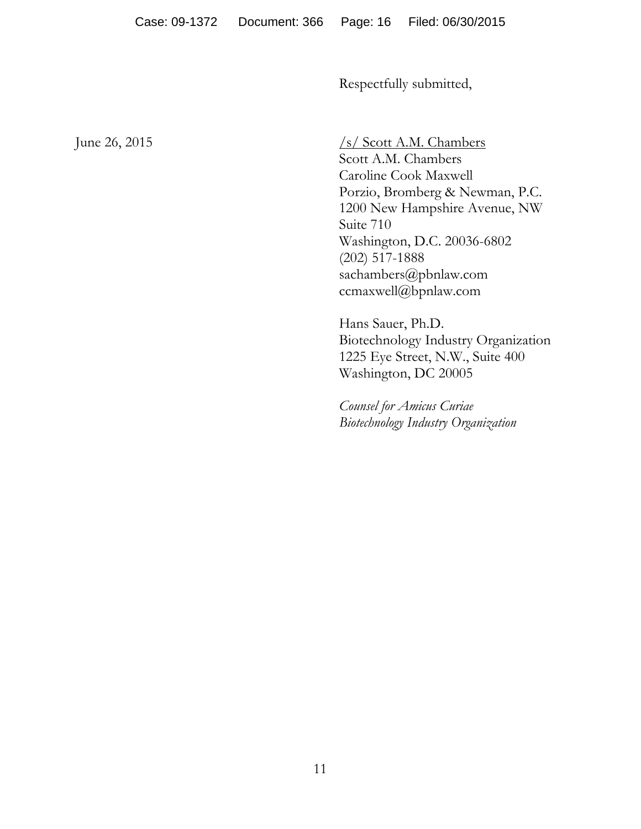Respectfully submitted,

June 26, 2015  $\frac{\sqrt{s}}{\sqrt{\text{Scott A.M. Chambers}}}$ Scott A.M. Chambers Caroline Cook Maxwell Porzio, Bromberg & Newman, P.C. 1200 New Hampshire Avenue, NW Suite 710 Washington, D.C. 20036-6802 (202) 517-1888 sachambers@pbnlaw.com ccmaxwell@bpnlaw.com

> Hans Sauer, Ph.D. Biotechnology Industry Organization 1225 Eye Street, N.W., Suite 400 Washington, DC 20005

*Counsel for Amicus Curiae Biotechnology Industry Organization*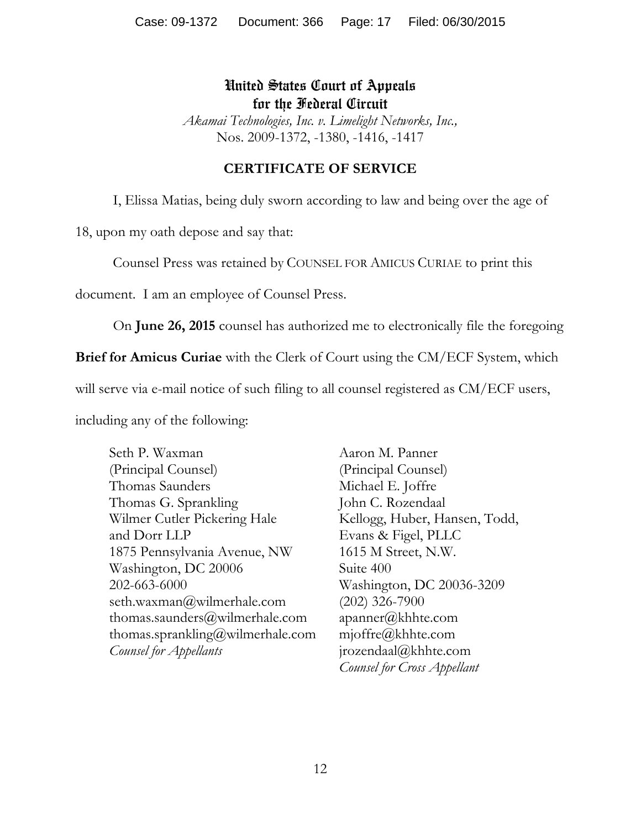# United States Court of Appeals for the Federal Circuit

*Akamai Technologies, Inc. v. Limelight Networks, Inc.,* Nos. 2009-1372, -1380, -1416, -1417

## **CERTIFICATE OF SERVICE**

I, Elissa Matias, being duly sworn according to law and being over the age of

18, upon my oath depose and say that:

Counsel Press was retained by COUNSEL FOR AMICUS CURIAE to print this

document. I am an employee of Counsel Press.

On **June 26, 2015** counsel has authorized me to electronically file the foregoing

**Brief for Amicus Curiae** with the Clerk of Court using the CM/ECF System, which

will serve via e-mail notice of such filing to all counsel registered as CM/ECF users,

including any of the following:

Seth P. Waxman (Principal Counsel) Thomas Saunders Thomas G. Sprankling Wilmer Cutler Pickering Hale and Dorr LLP 1875 Pennsylvania Avenue, NW Washington, DC 20006 202-663-6000 seth.waxman@wilmerhale.com thomas.saunders@wilmerhale.com thomas.sprankling@wilmerhale.com *Counsel for Appellants* 

Aaron M. Panner (Principal Counsel) Michael E. Joffre John C. Rozendaal Kellogg, Huber, Hansen, Todd, Evans & Figel, PLLC 1615 M Street, N.W. Suite 400 Washington, DC 20036-3209 (202) 326-7900 apanner@khhte.com mjoffre@khhte.com jrozendaal@khhte.com *Counsel for Cross Appellant*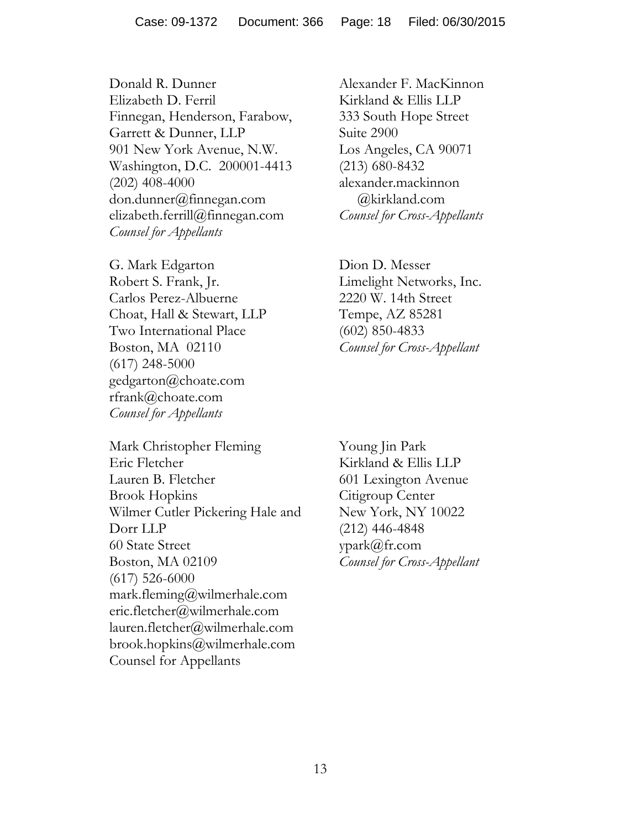Donald R. Dunner Elizabeth D. Ferril Finnegan, Henderson, Farabow, Garrett & Dunner, LLP 901 New York Avenue, N.W. Washington, D.C. 200001-4413 (202) 408-4000 don.dunner@finnegan.com elizabeth.ferrill@finnegan.com *Counsel for Appellants*

G. Mark Edgarton Robert S. Frank, Jr. Carlos Perez-Albuerne Choat, Hall & Stewart, LLP Two International Place Boston, MA 02110 (617) 248-5000 gedgarton@choate.com rfrank@choate.com *Counsel for Appellants* 

Mark Christopher Fleming Eric Fletcher Lauren B. Fletcher Brook Hopkins Wilmer Cutler Pickering Hale and Dorr LLP 60 State Street Boston, MA 02109 (617) 526-6000 mark.fleming@wilmerhale.com eric.fletcher@wilmerhale.com lauren.fletcher@wilmerhale.com brook.hopkins@wilmerhale.com Counsel for Appellants

Alexander F. MacKinnon Kirkland & Ellis LLP 333 South Hope Street Suite 2900 Los Angeles, CA 90071 (213) 680-8432 alexander.mackinnon @kirkland.com *Counsel for Cross-Appellants*

Dion D. Messer Limelight Networks, Inc. 2220 W. 14th Street Tempe, AZ 85281 (602) 850-4833 *Counsel for Cross-Appellant*

Young Jin Park Kirkland & Ellis LLP 601 Lexington Avenue Citigroup Center New York, NY 10022 (212) 446-4848 ypark@fr.com *Counsel for Cross-Appellant*